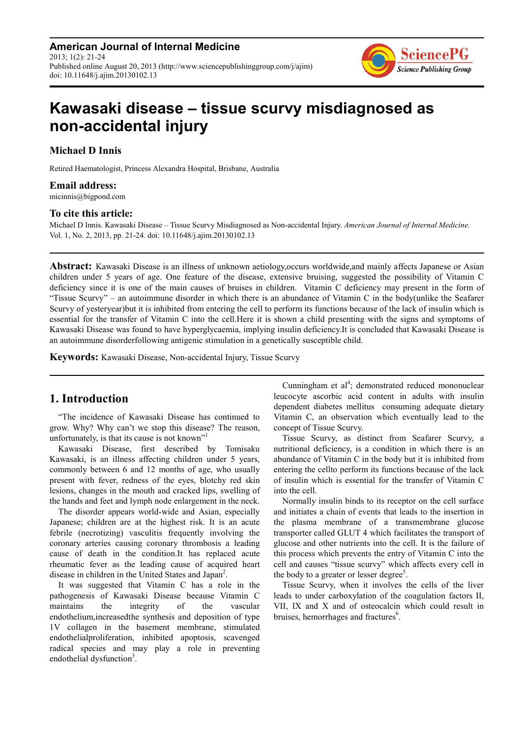**American Journal of Internal Medicine** 2013; 1(2): 21-24 Published online August 20, 2013 (http://www.sciencepublishinggroup.com/j/ajim) doi: 10.11648/j.ajim.20130102.13



# **Kawasaki disease – tissue scurvy misdiagnosed as non-accidental injury**

**Michael D Innis** 

Retired Haematologist, Princess Alexandra Hospital, Brisbane, Australia

### **Email address:**

micinnis@bigpond.com

#### **To cite this article:**

Michael D Innis. Kawasaki Disease – Tissue Scurvy Misdiagnosed as Non-accidental Injury. *American Journal of Internal Medicine.*  Vol. 1, No. 2, 2013, pp. 21-24. doi: 10.11648/j.ajim.20130102.13

**Abstract:** Kawasaki Disease is an illness of unknown aetiology,occurs worldwide,and mainly affects Japanese or Asian children under 5 years of age. One feature of the disease, extensive bruising, suggested the possibility of Vitamin C deficiency since it is one of the main causes of bruises in children. Vitamin C deficiency may present in the form of "Tissue Scurvy" – an autoimmune disorder in which there is an abundance of Vitamin C in the body(unlike the Seafarer Scurvy of yesteryear)but it is inhibited from entering the cell to perform its functions because of the lack of insulin which is essential for the transfer of Vitamin C into the cell.Here it is shown a child presenting with the signs and symptoms of Kawasaki Disease was found to have hyperglycaemia, implying insulin deficiency.It is concluded that Kawasaki Disease is an autoimmune disorderfollowing antigenic stimulation in a genetically susceptible child.

**Keywords:** Kawasaki Disease, Non-accidental Injury, Tissue Scurvy

# **1. Introduction**

"The incidence of Kawasaki Disease has continued to grow. Why? Why can't we stop this disease? The reason, unfortunately, is that its cause is not known"<sup>1</sup>

Kawasaki Disease, first described by Tomisaku Kawasaki, is an illness affecting children under 5 years, commonly between 6 and 12 months of age, who usually present with fever, redness of the eyes, blotchy red skin lesions, changes in the mouth and cracked lips, swelling of the hands and feet and lymph node enlargement in the neck.

The disorder appears world-wide and Asian, especially Japanese; children are at the highest risk. It is an acute febrile (necrotizing) vasculitis frequently involving the coronary arteries causing coronary thrombosis a leading cause of death in the condition.It has replaced acute rheumatic fever as the leading cause of acquired heart disease in children in the United States and Japan<sup>2</sup>.

It was suggested that Vitamin C has a role in the pathogenesis of Kawasaki Disease because Vitamin C maintains the integrity of the vascular endothelium,increasedthe synthesis and deposition of type 1V collagen in the basement membrane, stimulated endothelialproliferation, inhibited apoptosis, scavenged radical species and may play a role in preventing endothelial dysfunction<sup>3</sup>.

Cunningham et al<sup>4</sup>; demonstrated reduced mononuclear leucocyte ascorbic acid content in adults with insulin dependent diabetes mellitus consuming adequate dietary Vitamin C, an observation which eventually lead to the concept of Tissue Scurvy.

Tissue Scurvy, as distinct from Seafarer Scurvy, a nutritional deficiency, is a condition in which there is an abundance of Vitamin C in the body but it is inhibited from entering the cellto perform its functions because of the lack of insulin which is essential for the transfer of Vitamin C into the cell.

Normally insulin binds to its receptor on the cell surface and initiates a chain of events that leads to the insertion in the plasma membrane of a transmembrane glucose transporter called GLUT 4 which facilitates the transport of glucose and other nutrients into the cell. It is the failure of this process which prevents the entry of Vitamin C into the cell and causes "tissue scurvy" which affects every cell in the body to a greater or lesser degree<sup>5</sup>.

Tissue Scurvy, when it involves the cells of the liver leads to under carboxylation of the coagulation factors II, VII, IX and X and of osteocalcin which could result in bruises, hemorrhages and fractures<sup>6</sup>.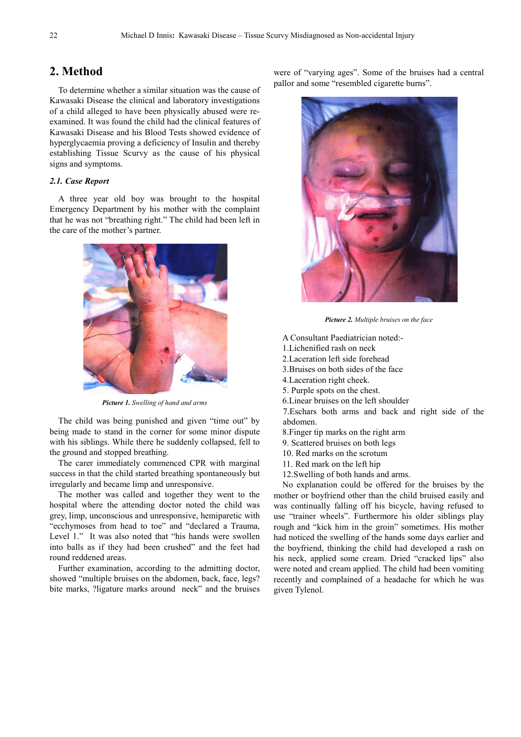## **2. Method**

To determine whether a similar situation was the cause of Kawasaki Disease the clinical and laboratory investigations of a child alleged to have been physically abused were reexamined. It was found the child had the clinical features of Kawasaki Disease and his Blood Tests showed evidence of hyperglycaemia proving a deficiency of Insulin and thereby establishing Tissue Scurvy as the cause of his physical signs and symptoms.

#### *2.1. Case Report*

A three year old boy was brought to the hospital Emergency Department by his mother with the complaint that he was not "breathing right." The child had been left in the care of the mother's partner.



*Picture 1. Swelling of hand and arms* 

The child was being punished and given "time out" by being made to stand in the corner for some minor dispute with his siblings. While there he suddenly collapsed, fell to the ground and stopped breathing.

The carer immediately commenced CPR with marginal success in that the child started breathing spontaneously but irregularly and became limp and unresponsive.

The mother was called and together they went to the hospital where the attending doctor noted the child was grey, limp, unconscious and unresponsive, hemiparetic with "ecchymoses from head to toe" and "declared a Trauma, Level 1." It was also noted that "his hands were swollen into balls as if they had been crushed" and the feet had round reddened areas.

Further examination, according to the admitting doctor, showed "multiple bruises on the abdomen, back, face, legs? bite marks, ?ligature marks around neck" and the bruises were of "varying ages". Some of the bruises had a central pallor and some "resembled cigarette burns".



*Picture 2. Multiple bruises on the face* 

A Consultant Paediatrician noted:-

- 1.Lichenified rash on neck
- 2.Laceration left side forehead
- 3.Bruises on both sides of the face
- 4.Laceration right cheek.
- 5. Purple spots on the chest.
- 6.Linear bruises on the left shoulder

7.Eschars both arms and back and right side of the abdomen.

- 8.Finger tip marks on the right arm
- 9. Scattered bruises on both legs
- 10. Red marks on the scrotum
- 11. Red mark on the left hip
- 12.Swelling of both hands and arms.

No explanation could be offered for the bruises by the mother or boyfriend other than the child bruised easily and was continually falling off his bicycle, having refused to use "trainer wheels". Furthermore his older siblings play rough and "kick him in the groin" sometimes. His mother had noticed the swelling of the hands some days earlier and the boyfriend, thinking the child had developed a rash on his neck, applied some cream. Dried "cracked lips" also were noted and cream applied. The child had been vomiting recently and complained of a headache for which he was given Tylenol.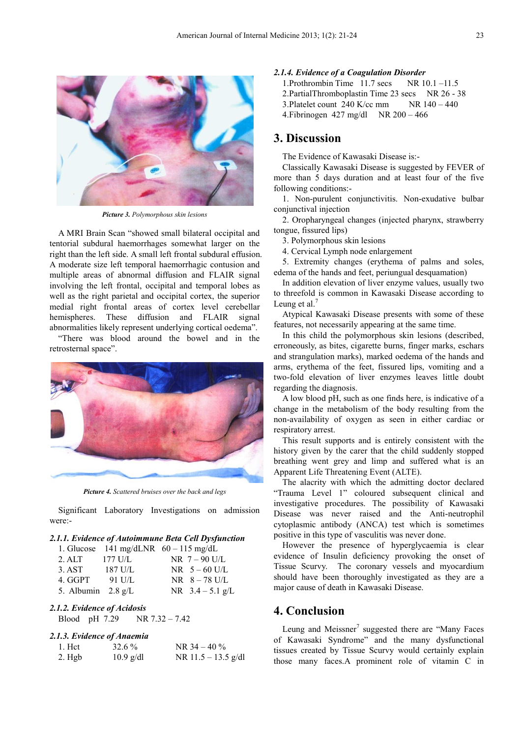

*Picture 3. Polymorphous skin lesions* 

A MRI Brain Scan "showed small bilateral occipital and tentorial subdural haemorrhages somewhat larger on the right than the left side. A small left frontal subdural effusion. A moderate size left temporal haemorrhagic contusion and multiple areas of abnormal diffusion and FLAIR signal involving the left frontal, occipital and temporal lobes as well as the right parietal and occipital cortex, the superior medial right frontal areas of cortex level cerebellar hemispheres. These diffusion and FLAIR signal abnormalities likely represent underlying cortical oedema".

"There was blood around the bowel and in the retrosternal space".



*Picture 4. Scattered bruises over the back and legs* 

Significant Laboratory Investigations on admission were:-

#### *2.1.1. Evidence of Autoimmune Beta Cell Dysfunction*

|                              |           | 1. Glucose 141 mg/dLNR $60 - 115$ mg/dL |
|------------------------------|-----------|-----------------------------------------|
| 2. ALT                       | $177$ U/L | NR $7 - 90$ U/L                         |
| 3. AST                       | 187 U/L   | $NR = 5 - 60$ U/L                       |
| 4. GGPT                      | 91 U/L    | $NR$ 8 - 78 U/L                         |
| 5. Albumin $2.8 \text{ g/L}$ |           | NR $3.4 - 5.1$ g/L                      |

#### *2.1.2. Evidence of Acidosis*

Blood pH 7.29 NR 7.32 – 7.42

#### *2.1.3. Evidence of Anaemia*

| 1. Het | $32.6\%$    | NR $34 - 40\%$        |
|--------|-------------|-----------------------|
| 2. Hgb | $10.9$ g/dl | NR $11.5 - 13.5$ g/dl |

## *2.1.4. Evidence of a Coagulation Disorder*

1. Prothrombin Time  $11.7$  secs NR  $10.1 - 11.5$ 2. PartialThromboplastin Time 23 secs NR 26 - 38 3. Platelet count  $240$  K/cc mm NR  $140 - 440$ 4.Fibrinogen 427 mg/dl NR 200 – 466

## **3. Discussion**

The Evidence of Kawasaki Disease is:-

Classically Kawasaki Disease is suggested by FEVER of more than 5 days duration and at least four of the five following conditions:-

1. Non-purulent conjunctivitis. Non-exudative bulbar conjunctival injection

2. Oropharyngeal changes (injected pharynx, strawberry tongue, fissured lips)

3. Polymorphous skin lesions

4. Cervical Lymph node enlargement

5. Extremity changes (erythema of palms and soles, edema of the hands and feet, periungual desquamation)

In addition elevation of liver enzyme values, usually two to threefold is common in Kawasaki Disease according to Leung et al. $<sup>7</sup>$ </sup>

Atypical Kawasaki Disease presents with some of these features, not necessarily appearing at the same time.

In this child the polymorphous skin lesions (described, erroneously, as bites, cigarette burns, finger marks, eschars and strangulation marks), marked oedema of the hands and arms, erythema of the feet, fissured lips, vomiting and a two-fold elevation of liver enzymes leaves little doubt regarding the diagnosis.

A low blood pH, such as one finds here, is indicative of a change in the metabolism of the body resulting from the non-availability of oxygen as seen in either cardiac or respiratory arrest.

This result supports and is entirely consistent with the history given by the carer that the child suddenly stopped breathing went grey and limp and suffered what is an Apparent Life Threatening Event (ALTE).

The alacrity with which the admitting doctor declared "Trauma Level 1" coloured subsequent clinical and investigative procedures. The possibility of Kawasaki Disease was never raised and the Anti-neutrophil cytoplasmic antibody (ANCA) test which is sometimes positive in this type of vasculitis was never done.

However the presence of hyperglycaemia is clear evidence of Insulin deficiency provoking the onset of Tissue Scurvy. The coronary vessels and myocardium should have been thoroughly investigated as they are a major cause of death in Kawasaki Disease.

## **4. Conclusion**

Leung and Meissner $7$  suggested there are "Many Faces of Kawasaki Syndrome" and the many dysfunctional tissues created by Tissue Scurvy would certainly explain those many faces.A prominent role of vitamin C in